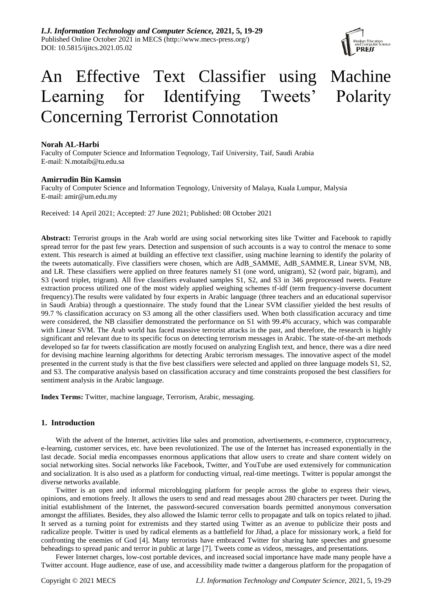*I.J. Information Technology and Computer Science,* **2021, 5, 19-29** Published Online October 2021 in MECS (http://www.mecs-press.org/) DOI: 10.5815/ijitcs.2021.05.02



# An Effective Text Classifier using Machine Learning for Identifying Tweets' Polarity Concerning Terrorist Connotation

# **Norah AL-Harbi**

Faculty of Computer Science and Information Teqnology, Taif University, Taif, Saudi Arabia E-mail: N.motaib@tu.edu.sa

# **Amirrudin Bin Kamsin**

Faculty of Computer Science and Information Teqnology, University of Malaya, Kuala Lumpur, Malysia E-mail: amir@um.edu.my

Received: 14 April 2021; Accepted: 27 June 2021; Published: 08 October 2021

**Abstract:** Terrorist groups in the Arab world are using social networking sites like Twitter and Facebook to rapidly spread terror for the past few years. Detection and suspension of such accounts is a way to control the menace to some extent. This research is aimed at building an effective text classifier, using machine learning to identify the polarity of the tweets automatically. Five classifiers were chosen, which are AdB\_SAMME, AdB\_SAMME.R, Linear SVM, NB, and LR. These classifiers were applied on three features namely S1 (one word, unigram), S2 (word pair, bigram), and S3 (word triplet, trigram). All five classifiers evaluated samples S1, S2, and S3 in 346 preprocessed tweets. Feature extraction process utilized one of the most widely applied weighing schemes tf-idf (term frequency-inverse document frequency).The results were validated by four experts in Arabic language (three teachers and an educational supervisor in Saudi Arabia) through a questionnaire. The study found that the Linear SVM classifier yielded the best results of 99.7 % classification accuracy on S3 among all the other classifiers used. When both classification accuracy and time were considered, the NB classifier demonstrated the performance on S1 with 99.4% accuracy, which was comparable with Linear SVM. The Arab world has faced massive terrorist attacks in the past, and therefore, the research is highly significant and relevant due to its specific focus on detecting terrorism messages in Arabic. The state-of-the-art methods developed so far for tweets classification are mostly focused on analyzing English text, and hence, there was a dire need for devising machine learning algorithms for detecting Arabic terrorism messages. The innovative aspect of the model presented in the current study is that the five best classifiers were selected and applied on three language models S1, S2, and S3. The comparative analysis based on classification accuracy and time constraints proposed the best classifiers for sentiment analysis in the Arabic language.

**Index Terms:** Twitter, machine language, Terrorism, Arabic, messaging.

## **1. Introduction**

With the advent of the Internet, activities like sales and promotion, advertisements, e-commerce, cryptocurrency, e-learning, customer services, etc. have been revolutionized. The use of the Internet has increased exponentially in the last decade. Social media encompasses enormous applications that allow users to create and share content widely on social networking sites. Social networks like Facebook, Twitter, and YouTube are used extensively for communication and socialization. It is also used as a platform for conducting virtual, real-time meetings. Twitter is popular amongst the diverse networks available.

Twitter is an open and informal microblogging platform for people across the globe to express their views, opinions, and emotions freely. It allows the users to send and read messages about 280 characters per tweet. During the initial establishment of the Internet, the password-secured conversation boards permitted anonymous conversation amongst the affiliates. Besides, they also allowed the Islamic terror cells to propagate and talk on topics related to jihad. It served as a turning point for extremists and they started using Twitter as an avenue to publicize their posts and radicalize people. Twitter is used by radical elements as a battlefield for Jihad, a place for missionary work, a field for confronting the enemies of God [4]. Many terrorists have embraced Twitter for sharing hate speeches and gruesome beheadings to spread panic and terror in public at large [7]. Tweets come as videos, messages, and presentations.

Fewer Internet charges, low-cost portable devices, and increased social importance have made many people have a Twitter account. Huge audience, ease of use, and accessibility made twitter a dangerous platform for the propagation of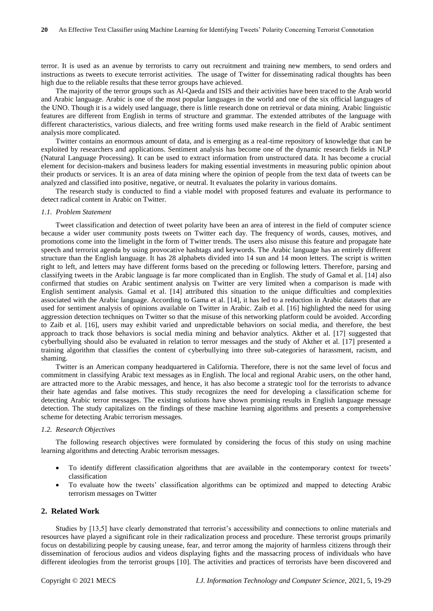terror. It is used as an avenue by terrorists to carry out recruitment and training new members, to send orders and instructions as tweets to execute terrorist activities. The usage of Twitter for disseminating radical thoughts has been high due to the reliable results that these terror groups have achieved.

The majority of the terror groups such as Al-Qaeda and ISIS and their activities have been traced to the Arab world and Arabic language. Arabic is one of the most popular languages in the world and one of the six official languages of the UNO. Though it is a widely used language, there is little research done on retrieval or data mining. Arabic linguistic features are different from English in terms of structure and grammar. The extended attributes of the language with different characteristics, various dialects, and free writing forms used make research in the field of Arabic sentiment analysis more complicated.

Twitter contains an enormous amount of data, and is emerging as a real-time repository of knowledge that can be exploited by researchers and applications. Sentiment analysis has become one of the dynamic research fields in NLP (Natural Language Processing). It can be used to extract information from unstructured data. It has become a crucial element for decision-makers and business leaders for making essential investments in measuring public opinion about their products or services. It is an area of data mining where the opinion of people from the text data of tweets can be analyzed and classified into positive, negative, or neutral. It evaluates the polarity in various domains.

The research study is conducted to find a viable model with proposed features and evaluate its performance to detect radical content in Arabic on Twitter.

## *1.1. Problem Statement*

Tweet classification and detection of tweet polarity have been an area of interest in the field of computer science because a wider user community posts tweets on Twitter each day. The frequency of words, causes, motives, and promotions come into the limelight in the form of Twitter trends. The users also misuse this feature and propagate hate speech and terrorist agenda by using provocative hashtags and keywords. The Arabic language has an entirely different structure than the English language. It has 28 alphabets divided into 14 sun and 14 moon letters. The script is written right to left, and letters may have different forms based on the preceding or following letters. Therefore, parsing and classifying tweets in the Arabic language is far more complicated than in English. The study of Gamal et al. [14] also confirmed that studies on Arabic sentiment analysis on Twitter are very limited when a comparison is made with English sentiment analysis. Gamal et al. [14] attributed this situation to the unique difficulties and complexities associated with the Arabic language. According to Gama et al. [14], it has led to a reduction in Arabic datasets that are used for sentiment analysis of opinions available on Twitter in Arabic. Zaib et al. [16] highlighted the need for using aggression detection techniques on Twitter so that the misuse of this networking platform could be avoided. According to Zaib et al. [16], users may exhibit varied and unpredictable behaviors on social media, and therefore, the best approach to track those behaviors is social media mining and behavior analytics. Akther et al. [17] suggested that cyberbullying should also be evaluated in relation to terror messages and the study of Akther et al. [17] presented a training algorithm that classifies the content of cyberbullying into three sub-categories of harassment, racism, and shaming.

Twitter is an American company headquartered in California. Therefore, there is not the same level of focus and commitment in classifying Arabic text messages as in English. The local and regional Arabic users, on the other hand, are attracted more to the Arabic messages, and hence, it has also become a strategic tool for the terrorists to advance their hate agendas and false motives. This study recognizes the need for developing a classification scheme for detecting Arabic terror messages. The existing solutions have shown promising results in English language message detection. The study capitalizes on the findings of these machine learning algorithms and presents a comprehensive scheme for detecting Arabic terrorism messages.

## *1.2. Research Objectives*

The following research objectives were formulated by considering the focus of this study on using machine learning algorithms and detecting Arabic terrorism messages.

- To identify different classification algorithms that are available in the contemporary context for tweets' classification
- To evaluate how the tweets' classification algorithms can be optimized and mapped to detecting Arabic terrorism messages on Twitter

## **2. Related Work**

Studies by [13,5] have clearly demonstrated that terrorist's accessibility and connections to online materials and resources have played a significant role in their radicalization process and procedure. These terrorist groups primarily focus on destabilizing people by causing unease, fear, and terror among the majority of harmless citizens through their dissemination of ferocious audios and videos displaying fights and the massacring process of individuals who have different ideologies from the terrorist groups [10]. The activities and practices of terrorists have been discovered and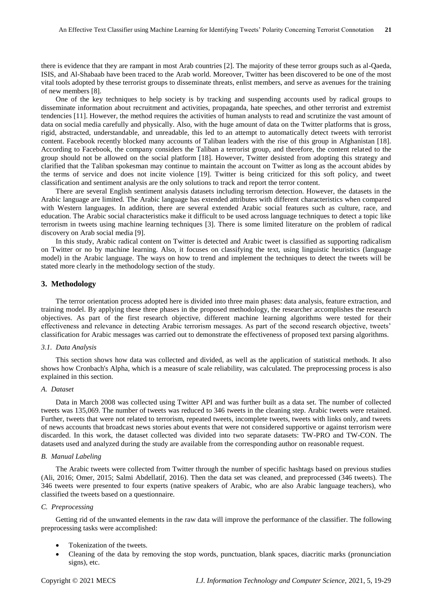there is evidence that they are rampant in most Arab countries [2]. The majority of these terror groups such as al-Qaeda, ISIS, and Al-Shabaab have been traced to the Arab world. Moreover, Twitter has been discovered to be one of the most vital tools adopted by these terrorist groups to disseminate threats, enlist members, and serve as avenues for the training of new members [8].

One of the key techniques to help society is by tracking and suspending accounts used by radical groups to disseminate information about recruitment and activities, propaganda, hate speeches, and other terrorist and extremist tendencies [11]. However, the method requires the activities of human analysts to read and scrutinize the vast amount of data on social media carefully and physically. Also, with the huge amount of data on the Twitter platforms that is gross, rigid, abstracted, understandable, and unreadable, this led to an attempt to automatically detect tweets with terrorist content. Facebook recently blocked many accounts of Taliban leaders with the rise of this group in Afghanistan [18]. According to Facebook, the company considers the Taliban a terrorist group, and therefore, the content related to the group should not be allowed on the social platform [18]. However, Twitter desisted from adopting this strategy and clarified that the Taliban spokesman may continue to maintain the account on Twitter as long as the account abides by the terms of service and does not incite violence [19]. Twitter is being criticized for this soft policy, and tweet classification and sentiment analysis are the only solutions to track and report the terror content.

There are several English sentiment analysis datasets including terrorism detection. However, the datasets in the Arabic language are limited. The Arabic language has extended attributes with different characteristics when compared with Western languages. In addition, there are several extended Arabic social features such as culture, race, and education. The Arabic social characteristics make it difficult to be used across language techniques to detect a topic like terrorism in tweets using machine learning techniques [3]. There is some limited literature on the problem of radical discovery on Arab social media [9].

In this study, Arabic radical content on Twitter is detected and Arabic tweet is classified as supporting radicalism on Twitter or no by machine learning. Also, it focuses on classifying the text, using linguistic heuristics (language model) in the Arabic language. The ways on how to trend and implement the techniques to detect the tweets will be stated more clearly in the methodology section of the study.

## **3. Methodology**

The terror orientation process adopted here is divided into three main phases: data analysis, feature extraction, and training model. By applying these three phases in the proposed methodology, the researcher accomplishes the research objectives. As part of the first research objective, different machine learning algorithms were tested for their effectiveness and relevance in detecting Arabic terrorism messages. As part of the second research objective, tweets' classification for Arabic messages was carried out to demonstrate the effectiveness of proposed text parsing algorithms.

#### *3.1. Data Analysis*

This section shows how data was collected and divided, as well as the application of statistical methods. It also shows how Cronbach's Alpha, which is a measure of scale reliability, was calculated. The preprocessing process is also explained in this section.

## *A. Dataset*

Data in March 2008 was collected using Twitter API and was further built as a data set. The number of collected tweets was 135,069. The number of tweets was reduced to 346 tweets in the cleaning step. Arabic tweets were retained. Further, tweets that were not related to terrorism, repeated tweets, incomplete tweets, tweets with links only, and tweets of news accounts that broadcast news stories about events that were not considered supportive or against terrorism were discarded. In this work, the dataset collected was divided into two separate datasets: TW-PRO and TW-CON. The datasets used and analyzed during the study are available from the corresponding author on reasonable request.

### *B. Manual Labeling*

The Arabic tweets were collected from Twitter through the number of specific hashtags based on previous studies (Ali, 2016; Omer, 2015; Salmi Abdellatif, 2016). Then the data set was cleaned, and preprocessed (346 tweets). The 346 tweets were presented to four experts (native speakers of Arabic, who are also Arabic language teachers), who classified the tweets based on a questionnaire.

## *C. Preprocessing*

Getting rid of the unwanted elements in the raw data will improve the performance of the classifier. The following preprocessing tasks were accomplished:

- Tokenization of the tweets.
- Cleaning of the data by removing the stop words, punctuation, blank spaces, diacritic marks (pronunciation signs), etc.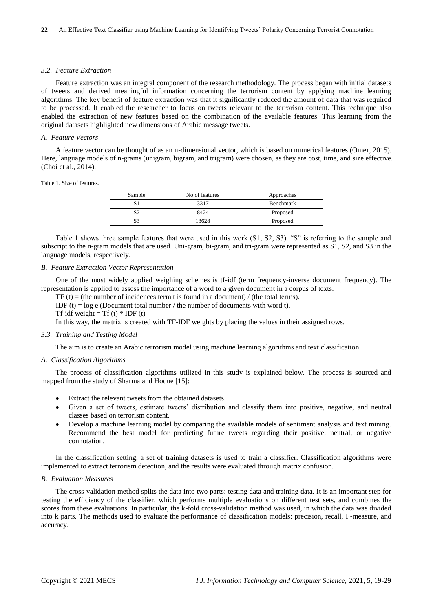#### *3.2. Feature Extraction*

Feature extraction was an integral component of the research methodology. The process began with initial datasets of tweets and derived meaningful information concerning the terrorism content by applying machine learning algorithms. The key benefit of feature extraction was that it significantly reduced the amount of data that was required to be processed. It enabled the researcher to focus on tweets relevant to the terrorism content. This technique also enabled the extraction of new features based on the combination of the available features. This learning from the original datasets highlighted new dimensions of Arabic message tweets.

## *A. Feature Vectors*

A feature vector can be thought of as an n-dimensional vector, which is based on numerical features (Omer, 2015). Here, language models of n-grams (unigram, bigram, and trigram) were chosen, as they are cost, time, and size effective. (Choi et al., 2014).

#### Table 1. Size of features.

| Sample   | No of features | Approaches |
|----------|----------------|------------|
|          | 3317           | Benchmark  |
| c٦       | 8424           | Proposed   |
| cη<br>S. | 13628          | Proposed   |

Table 1 shows three sample features that were used in this work (S1, S2, S3). "S" is referring to the sample and subscript to the n-gram models that are used. Uni-gram, bi-gram, and tri-gram were represented as S1, S2, and S3 in the language models, respectively.

## *B. Feature Extraction Vector Representation*

One of the most widely applied weighing schemes is tf-idf (term frequency-inverse document frequency). The representation is applied to assess the importance of a word to a given document in a corpus of texts.

TF (t) = (the number of incidences term t is found in a document) / (the total terms).

IDF (t) =  $log e$  (Document total number / the number of documents with word t).

Tf-idf weight = Tf (t)  $*$  IDF (t)

In this way, the matrix is created with TF-IDF weights by placing the values in their assigned rows.

#### *3.3. Training and Testing Model*

The aim is to create an Arabic terrorism model using machine learning algorithms and text classification.

## *A. Classification Algorithms*

The process of classification algorithms utilized in this study is explained below. The process is sourced and mapped from the study of Sharma and Hoque [15]:

- Extract the relevant tweets from the obtained datasets.
- Given a set of tweets, estimate tweets' distribution and classify them into positive, negative, and neutral classes based on terrorism content.
- Develop a machine learning model by comparing the available models of sentiment analysis and text mining. Recommend the best model for predicting future tweets regarding their positive, neutral, or negative connotation.

In the classification setting, a set of training datasets is used to train a classifier. Classification algorithms were implemented to extract terrorism detection, and the results were evaluated through matrix confusion.

## *B. Evaluation Measures*

The cross-validation method splits the data into two parts: testing data and training data. It is an important step for testing the efficiency of the classifier, which performs multiple evaluations on different test sets, and combines the scores from these evaluations. In particular, the k-fold cross-validation method was used, in which the data was divided into k parts. The methods used to evaluate the performance of classification models: precision, recall, F-measure, and accuracy.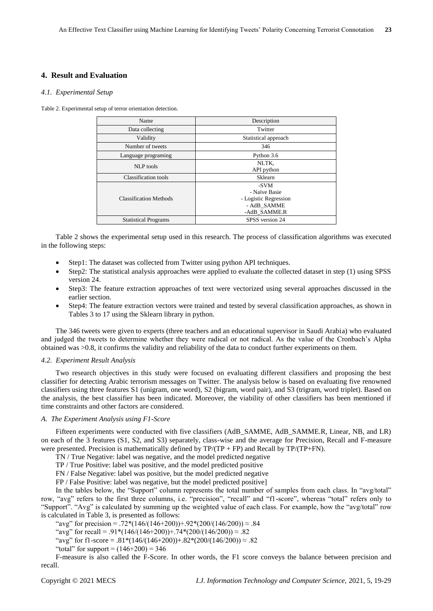## **4. Result and Evaluation**

## *4.1. Experimental Setup*

Table 2. Experimental setup of terror orientation detection.

| Name                          | Description                                                                   |
|-------------------------------|-------------------------------------------------------------------------------|
| Data collecting               | Twitter                                                                       |
| Validity                      | Statistical approach                                                          |
| Number of tweets              | 346                                                                           |
| Language programing           | Python 3.6                                                                    |
| NLP tools                     | NLTK.<br>API python                                                           |
| Classification tools          | Sklearn                                                                       |
| <b>Classification Methods</b> | -SVM<br>- Na we Basie<br>- Logistic Regression<br>- AdB SAMME<br>-AdB SAMME.R |
| <b>Statistical Programs</b>   | SPSS version 24                                                               |
|                               |                                                                               |

Table 2 shows the experimental setup used in this research. The process of classification algorithms was executed in the following steps:

- Step1: The dataset was collected from Twitter using python API techniques.
- Step2: The statistical analysis approaches were applied to evaluate the collected dataset in step (1) using SPSS version 24.
- Step3: The feature extraction approaches of text were vectorized using several approaches discussed in the earlier section.
- Step4: The feature extraction vectors were trained and tested by several classification approaches, as shown in Tables 3 to 17 using the Sklearn library in python.

The 346 tweets were given to experts (three teachers and an educational supervisor in Saudi Arabia) who evaluated and judged the tweets to determine whether they were radical or not radical. As the value of the Cronbach's Alpha obtained was >0.8, it confirms the validity and reliability of the data to conduct further experiments on them.

## *4.2. Experiment Result Analysis*

Two research objectives in this study were focused on evaluating different classifiers and proposing the best classifier for detecting Arabic terrorism messages on Twitter. The analysis below is based on evaluating five renowned classifiers using three features S1 (unigram, one word), S2 (bigram, word pair), and S3 (trigram, word triplet). Based on the analysis, the best classifier has been indicated. Moreover, the viability of other classifiers has been mentioned if time constraints and other factors are considered.

## *A. The Experiment Analysis using F1-Score*

Fifteen experiments were conducted with five classifiers (AdB\_SAMME, AdB\_SAMME.R, Linear, NB, and LR) on each of the 3 features (S1, S2, and S3) separately, class-wise and the average for Precision, Recall and F-measure were presented. Precision is mathematically defined by  $TP/(TP + FP)$  and Recall by  $TP/(TP+FN)$ .

TN / True Negative: label was negative, and the model predicted negative

TP / True Positive: label was positive, and the model predicted positive

FN / False Negative: label was positive, but the model predicted negative

FP / False Positive: label was negative, but the model predicted positive]

In the tables below, the "Support" column represents the total number of samples from each class. In "avg/total" row, "avg" refers to the first three columns, i.e. "precision", "recall" and "f1-score", whereas "total" refers only to "Support". "Avg" is calculated by summing up the weighted value of each class. For example, how the "avg/total" row is calculated in Table 3, is presented as follows:

"avg" for precision = .72\*(146/(146+200))+.92\*(200/(146/200))  $\approx$  .84

"avg" for recall = .91\*(146/(146+200))+.74\*(200/(146/200))  $\approx$  .82

"avg" for f1-score = .81\*(146/(146+200))+.82\*(200/(146/200))  $\approx$  .82

"total" for support =  $(146+200) = 346$ 

F-measure is also called the F-Score. In other words, the F1 score conveys the balance between precision and recall.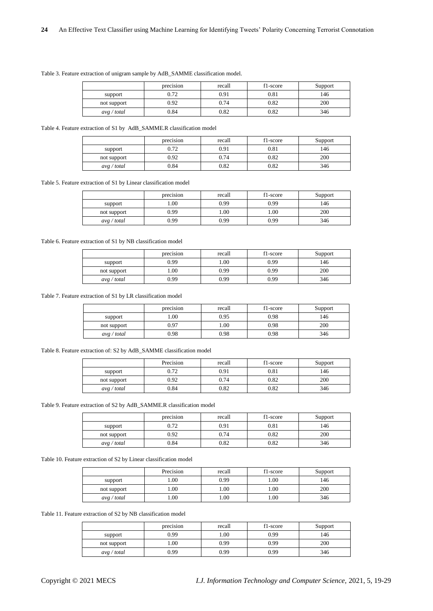|             | $\cdot$ $\cdot$<br>precision | recall | f1-score | Support |
|-------------|------------------------------|--------|----------|---------|
| support     | ሰ 72<br>∪. / ∠               | 0.91   | 0.81     | 146     |
| not support | 0.92                         | 0.74   | 0.82     | 200     |
| avg / total | 0.84                         | 0.82   | 0.82     | 346     |

Table 3. Feature extraction of unigram sample by AdB\_SAMME classification model.

Table 4. Feature extraction of S1 by AdB\_SAMME.R classification model

|             | precision | recall | f1-score | Support |
|-------------|-----------|--------|----------|---------|
| support     | 0.72      | 0.91   | 0.81     | 146     |
| not support | 0.92      | 0.74   | 0.82     | 200     |
| avg / total | 0.84      | 0.82   | 0.82     | 346     |

Table 5. Feature extraction of S1 by Linear classification model

|             | precision | recall | f1-score | Support |
|-------------|-----------|--------|----------|---------|
| support     | .00.      | 0.99   | 0.99     | 146     |
| not support | 0.99      | 00.1   | 00.1     | 200     |
| avg / total | 0.99      | 0.99   | 0.99     | 346     |

Table 6. Feature extraction of S1 by NB classification model

|             | precision | recall | f1-score | Support |
|-------------|-----------|--------|----------|---------|
| support     | 0.99      | $00$ . | 0.99     | 146     |
| not support | .00.      | 0.99   | 0.99     | 200     |
| avg / total | 0.99      | 0.99   | 0.99     | 346     |

Table 7. Feature extraction of S1 by LR classification model

|             | precision | recall | f1-score | Support |
|-------------|-----------|--------|----------|---------|
| support     | 00.1      | 0.95   | 0.98     | 146     |
| not support | 0.97      | .00.   | 0.98     | 200     |
| avg / total | 0.98      | 0.98   | 0.98     | 346     |

Table 8. Feature extraction of: S2 by AdB\_SAMME classification model

|             | Precision | recall | f1-score  | Support |
|-------------|-----------|--------|-----------|---------|
| support     | 0.72      | 0.91   | $_{0.81}$ | 146     |
| not support | 0.92      | 0.74   | 0.82      | 200     |
| avg / total | 0.84      | 0.82   | 0.82      | 346     |

Table 9. Feature extraction of S2 by AdB\_SAMME.R classification model

|             | precision | recall | f1-score  | Support |
|-------------|-----------|--------|-----------|---------|
| support     | 0.72      | 0.91   | $_{0.81}$ | 146     |
| not support | 0.92      | 0.74   | 0.82      | 200     |
| avg / total | 0.84      | 0.82   | 0.82      | 346     |

Table 10. Feature extraction of S2 by Linear classification model

|             | Precision | recall | f1-score | Support |
|-------------|-----------|--------|----------|---------|
| support     | .00       | 0.99   | 1.00     | 146     |
| not support | 00.1      | 00.    | 00.1     | 200     |
| avg / total | .00       | $00$ . | 00.1     | 346     |

Table 11. Feature extraction of S2 by NB classification model

|             | precision | recall | f1-score | Support |
|-------------|-----------|--------|----------|---------|
| support     | 0.99      | 00.1   | 0.99     | 146     |
| not support | .00       | 0.99   | 0.99     | 200     |
| avg / total | 0.99      | 0.99   | 0.99     | 346     |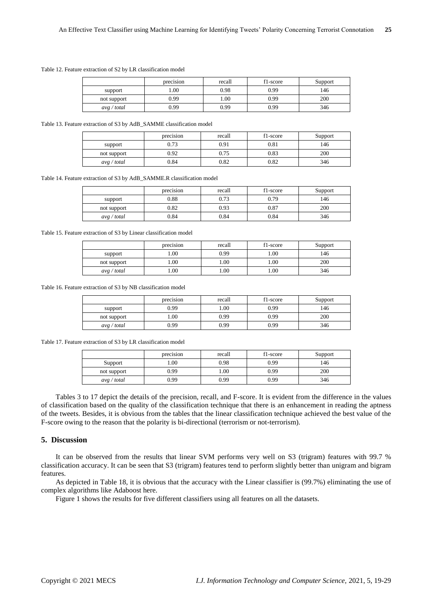Table 12. Feature extraction of S2 by LR classification model

|             | precision | recall | f1-score | Support |
|-------------|-----------|--------|----------|---------|
| support     | 00.1      | 0.98   | 0.99     | 146     |
| not support | 0.99      | 00.1   | 0.99     | 200     |
| avg / total | 0.99      | 0.99   | 0.99     | 346     |

Table 13. Feature extraction of S3 by AdB\_SAMME classification model

|             | precision | recall | f1-score  | Support |
|-------------|-----------|--------|-----------|---------|
| support     | 0.73      | 0.91   | $_{0.81}$ | 146     |
| not support | 0.92      | 0.75   | 0.83      | 200     |
| avg / total | 0.84      | 0.82   | 0.82      | 346     |

Table 14. Feature extraction of S3 by AdB\_SAMME.R classification model

|             | precision | recall | f1-score | Support |
|-------------|-----------|--------|----------|---------|
| support     | 0.88      | 0.73   | 0.79     | 146     |
| not support | 0.82      | 0.93   | 0.87     | 200     |
| avg / total | 0.84      | 0.84   | 0.84     | 346     |

Table 15. Feature extraction of S3 by Linear classification model

|             | precision | recall | f1-score | Support |
|-------------|-----------|--------|----------|---------|
| support     | .00       | 0.99   | 00.1     | 146     |
| not support | .00       | 00.1   | .00.     | 200     |
| avg / total | .00       | 00.1   | .00      | 346     |

Table 16. Feature extraction of S3 by NB classification model

|             | precision | recall | f1-score | Support |
|-------------|-----------|--------|----------|---------|
| support     | 0.99      | 00.1   | 0.99     | 146     |
| not support | .00.      | 0.99   | 0.99     | 200     |
| avg / total | 0.99      | 0.99   | 0.99     | 346     |

Table 17. Feature extraction of S3 by LR classification model

|             | precision | recall | f1-score | Support |
|-------------|-----------|--------|----------|---------|
| Support     | .00.      | 0.98   | 0.99     | 146     |
| not support | 0.99      | .00.   | 0.99     | 200     |
| avg / total | 0.99      | 0.99   | 0.99     | 346     |

Tables 3 to 17 depict the details of the precision, recall, and F-score. It is evident from the difference in the values of classification based on the quality of the classification technique that there is an enhancement in reading the aptness of the tweets. Besides, it is obvious from the tables that the linear classification technique achieved the best value of the F-score owing to the reason that the polarity is bi-directional (terrorism or not-terrorism).

## **5. Discussion**

It can be observed from the results that linear SVM performs very well on S3 (trigram) features with 99.7 % classification accuracy. It can be seen that S3 (trigram) features tend to perform slightly better than unigram and bigram features.

As depicted in Table 18, it is obvious that the accuracy with the Linear classifier is (99.7%) eliminating the use of complex algorithms like Adaboost here.

Figure 1 shows the results for five different classifiers using all features on all the datasets.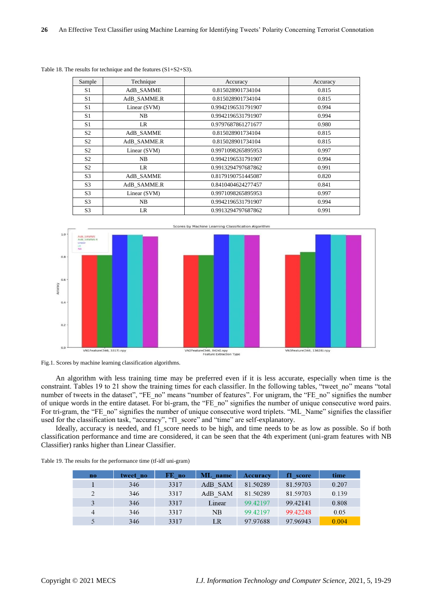| Sample         | Technique      | Accuracy           | Accuracy |
|----------------|----------------|--------------------|----------|
| S <sub>1</sub> | AdB SAMME      | 0.815028901734104  | 0.815    |
| S1             | AdB SAMME.R    | 0.815028901734104  | 0.815    |
| S <sub>1</sub> | Linear (SVM)   | 0.9942196531791907 | 0.994    |
| S <sub>1</sub> | NB             | 0.9942196531791907 | 0.994    |
| S1             | LR             | 0.9797687861271677 | 0.980    |
| S <sub>2</sub> | AdB SAMME      | 0.815028901734104  | 0.815    |
| S <sub>2</sub> | AdB SAMME.R    | 0.815028901734104  | 0.815    |
| S <sub>2</sub> | Linear (SVM)   | 0.9971098265895953 | 0.997    |
| S <sub>2</sub> | N <sub>B</sub> | 0.9942196531791907 | 0.994    |
| S <sub>2</sub> | LR             | 0.9913294797687862 | 0.991    |
| S <sub>3</sub> | AdB SAMME      | 0.8179190751445087 | 0.820    |
| S <sub>3</sub> | AdB SAMME.R    | 0.8410404624277457 | 0.841    |
| S <sub>3</sub> | Linear (SVM)   | 0.9971098265895953 | 0.997    |
| S <sub>3</sub> | NB             | 0.9942196531791907 | 0.994    |
| S <sub>3</sub> | LR.            | 0.9913294797687862 | 0.991    |

Table 18. The results for technique and the features (S1+S2+S3).





An algorithm with less training time may be preferred even if it is less accurate, especially when time is the constraint. Tables 19 to 21 show the training times for each classifier. In the following tables, "tweet\_no" means "total number of tweets in the dataset", "FE\_no" means "number of features". For unigram, the "FE\_no" signifies the number of unique words in the entire dataset. For bi-gram, the "FE\_no" signifies the number of unique consecutive word pairs. For tri-gram, the "FE\_no" signifies the number of unique consecutive word triplets. "ML\_Name" signifies the classifier used for the classification task, "accuracy", "f1\_score" and "time" are self-explanatory.

Ideally, accuracy is needed, and f1\_score needs to be high, and time needs to be as low as possible. So if both classification performance and time are considered, it can be seen that the 4th experiment (uni-gram features with NB Classifier) ranks higher than Linear Classifier.

|  |  | Table 19. The results for the performance time (tf-idf uni-gram) |
|--|--|------------------------------------------------------------------|
|--|--|------------------------------------------------------------------|

| $\mathbf{n}$   | tweet no | FE no | ML name | <b>Accuracy</b> | f1 score | time  |
|----------------|----------|-------|---------|-----------------|----------|-------|
|                | 346      | 3317  | AdB SAM | 81.50289        | 81.59703 | 0.207 |
| 2              | 346      | 3317  | AdB SAM | 81.50289        | 81.59703 | 0.139 |
|                | 346      | 3317  | Linear  | 99 42 197       | 99.42141 | 0.808 |
| $\overline{4}$ | 346      | 3317  | NB      | 99 42 197       | 99.42248 | 0.05  |
|                | 346      | 3317  | LR      | 97.97688        | 97.96943 | 0.004 |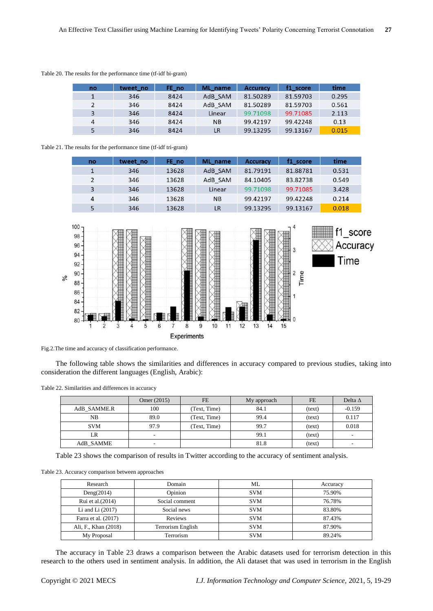| no | tweet no | FE no | ML name   | <b>Accuracy</b> | f1 score | time  |
|----|----------|-------|-----------|-----------------|----------|-------|
|    | 346      | 8424  | AdB SAM   | 81.50289        | 81.59703 | 0.295 |
|    | 346      | 8424  | AdB SAM   | 81.50289        | 81.59703 | 0.561 |
|    | 346      | 8424  | Linear    | 99.71098        | 99.71085 | 2.113 |
| 4  | 346      | 8424  | <b>NB</b> | 99.42197        | 99.42248 | 0.13  |
|    | 346      | 8424  | <b>LR</b> | 99.13295        | 99.13167 | 0.015 |

Table 20. The results for the performance time (tf-idf bi-gram)

## Table 21. The results for the performance time (tf-idf tri-gram)

| no            | tweet no | FE no | ML name   | <b>Accuracy</b> | f1 score | time  |
|---------------|----------|-------|-----------|-----------------|----------|-------|
|               | 346      | 13628 | AdB SAM   | 81.79191        | 81.88781 | 0.531 |
| $\mathcal{P}$ | 346      | 13628 | AdB SAM   | 84.10405        | 83.82738 | 0.549 |
| 3             | 346      | 13628 | Linear    | 99.71098        | 99.71085 | 3.428 |
| 4             | 346      | 13628 | <b>NB</b> | 99.42197        | 99.42248 | 0.214 |
|               | 346      | 13628 | LR        | 99.13295        | 99.13167 | 0.018 |



Fig.2.The time and accuracy of classification performance.

The following table shows the similarities and differences in accuracy compared to previous studies, taking into consideration the different languages (English, Arabic):

Table 22. Similarities and differences in accuracy

|             | Omer (2015) | FE           | My approach | <b>FE</b> | Delta $\Delta$ |
|-------------|-------------|--------------|-------------|-----------|----------------|
|             |             |              |             |           |                |
| AdB SAMME.R | 100         | (Text, Time) | 84.1        | (text)    | $-0.159$       |
| NB          | 89.0        | (Text, Time) | 99.4        | (text)    | 0.117          |
| <b>SVM</b>  | 97.9        | (Text, Time) | 99.7        | (text)    | 0.018          |
| LR          |             |              | 99.1        | (text)    |                |
| AdB_SAMME   | -           |              | 81.8        | (text)    |                |

Table 23 shows the comparison of results in Twitter according to the accuracy of sentiment analysis.

Table 23. Accuracy comparison between approaches

| Research                                  | Domain         | ML         | Accuracy |
|-------------------------------------------|----------------|------------|----------|
| Deng $(2014)$                             | Opinion        | <b>SVM</b> | 75.90%   |
| Rui et al. (2014)                         | Social comment | <b>SVM</b> | 76.78%   |
| Li and Li $(2017)$                        | Social news    | <b>SVM</b> | 83.80%   |
| Farra et al. (2017)                       | Reviews        |            | 87.43%   |
| Ali, F., Khan (2018)<br>Terrorism English |                | <b>SVM</b> | 87.90%   |
| My Proposal                               | Terrorism      | <b>SVM</b> | 89.24%   |

The accuracy in Table 23 draws a comparison between the Arabic datasets used for terrorism detection in this research to the others used in sentiment analysis. In addition, the Ali dataset that was used in terrorism in the English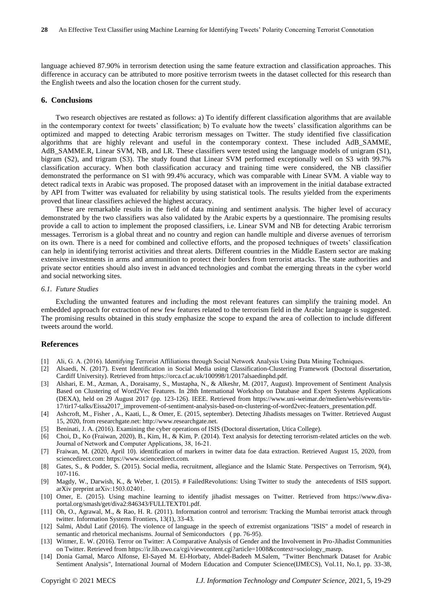language achieved 87.90% in terrorism detection using the same feature extraction and classification approaches. This difference in accuracy can be attributed to more positive terrorism tweets in the dataset collected for this research than the English tweets and also the location chosen for the current study.

## **6. Conclusions**

Two research objectives are restated as follows: a) To identify different classification algorithms that are available in the contemporary context for tweets' classification; b) To evaluate how the tweets' classification algorithms can be optimized and mapped to detecting Arabic terrorism messages on Twitter. The study identified five classification algorithms that are highly relevant and useful in the contemporary context. These included AdB\_SAMME, AdB\_SAMME.R, Linear SVM, NB, and LR. These classifiers were tested using the language models of unigram (S1), bigram (S2), and trigram (S3). The study found that Linear SVM performed exceptionally well on S3 with 99.7% classification accuracy. When both classification accuracy and training time were considered, the NB classifier demonstrated the performance on S1 with 99.4% accuracy, which was comparable with Linear SVM. A viable way to detect radical texts in Arabic was proposed. The proposed dataset with an improvement in the initial database extracted by API from Twitter was evaluated for reliability by using statistical tools. The results yielded from the experiments proved that linear classifiers achieved the highest accuracy.

These are remarkable results in the field of data mining and sentiment analysis. The higher level of accuracy demonstrated by the two classifiers was also validated by the Arabic experts by a questionnaire. The promising results provide a call to action to implement the proposed classifiers, i.e. Linear SVM and NB for detecting Arabic terrorism messages. Terrorism is a global threat and no country and region can handle multiple and diverse avenues of terrorism on its own. There is a need for combined and collective efforts, and the proposed techniques of tweets' classification can help in identifying terrorist activities and threat alerts. Different countries in the Middle Eastern sector are making extensive investments in arms and ammunition to protect their borders from terrorist attacks. The state authorities and private sector entities should also invest in advanced technologies and combat the emerging threats in the cyber world and social networking sites.

#### *6.1. Future Studies*

Excluding the unwanted features and including the most relevant features can simplify the training model. An embedded approach for extraction of new few features related to the terrorism field in the Arabic language is suggested. The promising results obtained in this study emphasize the scope to expand the area of collection to include different tweets around the world.

## **References**

- [1] Ali, G. A. (2016). Identifying Terrorist Affiliations through Social Network Analysis Using Data Mining Techniques.
- [2] Alsaedi, N. (2017). Event Identification in Social Media using Classification-Clustering Framework (Doctoral dissertation, Cardiff University). Retrieved from https://orca.cf.ac.uk/100998/1/2017alsaedinphd.pdf.
- [3] Alshari, E. M., Azman, A., Doraisamy, S., Mustapha, N., & Alkeshr, M. (2017, August). Improvement of Sentiment Analysis Based on Clustering of Word2Vec Features. In 28th International Workshop on Database and Expert Systems Applications (DEXA), held on 29 August 2017 (pp. 123-126). IEEE. Retrieved from https://www.uni-weimar.de/medien/webis/events/tir-17/tir17-talks/Eissa2017\_improvement-of-sentiment-analysis-based-on-clustering-of-word2vec-featuers\_presentation.pdf.
- [4] Ashcroft, M., Fisher , A., Kaati, L., & Omer, E. (2015, september). Detecting Jihadists messages on Twitter. Retrieved August 15, 2020, from researchgate.net: http://www.researchgate.net.
- [5] Beninati, J. A. (2016). Examining the cyber operations of ISIS (Doctoral dissertation, Utica College).
- [6] Choi, D., Ko (Fraiwan, 2020), B., Kim, H., & Kim, P. (2014). Text analysis for detecting terrorism-related articles on the web. Journal of Network and Computer Applications, 38, 16-21.
- [7] Fraiwan, M. (2020, April 10). identification of markers in twitter data foe data extraction. Retrieved August 15, 2020, from sciencedirect.com: https://www.sciencedirect.com.
- [8] Gates, S., & Podder, S. (2015). Social media, recruitment, allegiance and the Islamic State. Perspectives on Terrorism, 9(4), 107-116.
- [9] Magdy, W., Darwish, K., & Weber, I. (2015). # FailedRevolutions: Using Twitter to study the antecedents of ISIS support. arXiv preprint arXiv:1503.02401.
- [10] Omer, E. (2015). Using machine learning to identify jihadist messages on Twitter. Retrieved from https://www.divaportal.org/smash/get/diva2:846343/FULLTEXT01.pdf.
- [11] Oh, O., Agrawal, M., & Rao, H. R. (2011). Information control and terrorism: Tracking the Mumbai terrorist attack through twitter. Information Systems Frontiers, 13(1), 33-43.
- [12] Salmi, Abdul Latif (2016). The violence of language in the speech of extremist organizations "ISIS" a model of research in semantic and rhetorical mechanisms. Journal of Semiconductors ( pp. 76-95).
- [13] Witmer, E. W. (2016). Terror on Twitter: A Comparative Analysis of Gender and the Involvement in Pro-Jihadist Communities on Twitter. Retrieved from https://ir.lib.uwo.ca/cgi/viewcontent.cgi?article=1008&context=sociology\_masrp.
- [14] Donia Gamal, Marco Alfonse, El-Sayed M. El-Horbaty, Abdel-Badeeh M.Salem, "Twitter Benchmark Dataset for Arabic Sentiment Analysis", International Journal of Modern Education and Computer Science(IJMECS), Vol.11, No.1, pp. 33-38,